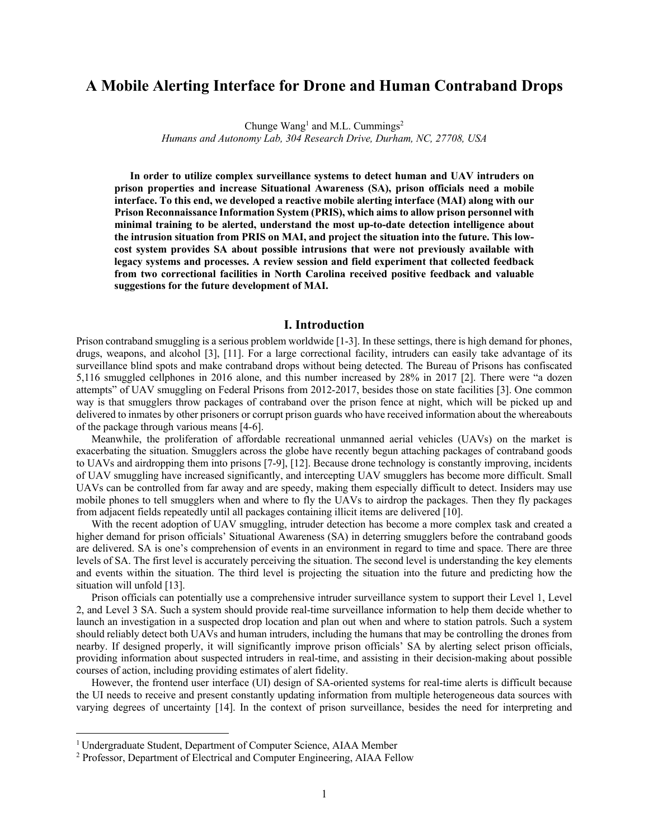# **A Mobile Alerting Interface for Drone and Human Contraband Drops**

Chunge Wang<sup>1</sup> and M.L. Cummings<sup>2</sup> *Humans and Autonomy Lab, 304 Research Drive, Durham, NC, 27708, USA*

 **In order to utilize complex surveillance systems to detect human and UAV intruders on prison properties and increase Situational Awareness (SA), prison officials need a mobile interface. To this end, we developed a reactive mobile alerting interface (MAI) along with our Prison Reconnaissance Information System (PRIS), which aims to allow prison personnel with minimal training to be alerted, understand the most up-to-date detection intelligence about the intrusion situation from PRIS on MAI, and project the situation into the future. This lowcost system provides SA about possible intrusions that were not previously available with legacy systems and processes. A review session and field experiment that collected feedback from two correctional facilities in North Carolina received positive feedback and valuable suggestions for the future development of MAI.**

### **I. Introduction**

Prison contraband smuggling is a serious problem worldwide [1-3]. In these settings, there is high demand for phones, drugs, weapons, and alcohol [3], [11]. For a large correctional facility, intruders can easily take advantage of its surveillance blind spots and make contraband drops without being detected. The Bureau of Prisons has confiscated 5,116 smuggled cellphones in 2016 alone, and this number increased by 28% in 2017 [2]. There were "a dozen attempts" of UAV smuggling on Federal Prisons from 2012-2017, besides those on state facilities [3]. One common way is that smugglers throw packages of contraband over the prison fence at night, which will be picked up and delivered to inmates by other prisoners or corrupt prison guards who have received information about the whereabouts of the package through various means [4-6].

Meanwhile, the proliferation of affordable recreational unmanned aerial vehicles (UAVs) on the market is exacerbating the situation. Smugglers across the globe have recently begun attaching packages of contraband goods to UAVs and airdropping them into prisons [7-9], [12]. Because drone technology is constantly improving, incidents of UAV smuggling have increased significantly, and intercepting UAV smugglers has become more difficult. Small UAVs can be controlled from far away and are speedy, making them especially difficult to detect. Insiders may use mobile phones to tell smugglers when and where to fly the UAVs to airdrop the packages. Then they fly packages from adjacent fields repeatedly until all packages containing illicit items are delivered [10].

With the recent adoption of UAV smuggling, intruder detection has become a more complex task and created a higher demand for prison officials' Situational Awareness (SA) in deterring smugglers before the contraband goods are delivered. SA is one's comprehension of events in an environment in regard to time and space. There are three levels of SA. The first level is accurately perceiving the situation. The second level is understanding the key elements and events within the situation. The third level is projecting the situation into the future and predicting how the situation will unfold [13].

Prison officials can potentially use a comprehensive intruder surveillance system to support their Level 1, Level 2, and Level 3 SA. Such a system should provide real-time surveillance information to help them decide whether to launch an investigation in a suspected drop location and plan out when and where to station patrols. Such a system should reliably detect both UAVs and human intruders, including the humans that may be controlling the drones from nearby. If designed properly, it will significantly improve prison officials' SA by alerting select prison officials, providing information about suspected intruders in real-time, and assisting in their decision-making about possible courses of action, including providing estimates of alert fidelity.

However, the frontend user interface (UI) design of SA-oriented systems for real-time alerts is difficult because the UI needs to receive and present constantly updating information from multiple heterogeneous data sources with varying degrees of uncertainty [14]. In the context of prison surveillance, besides the need for interpreting and

<sup>&</sup>lt;sup>1</sup> Undergraduate Student, Department of Computer Science, AIAA Member

<sup>2</sup> Professor, Department of Electrical and Computer Engineering, AIAA Fellow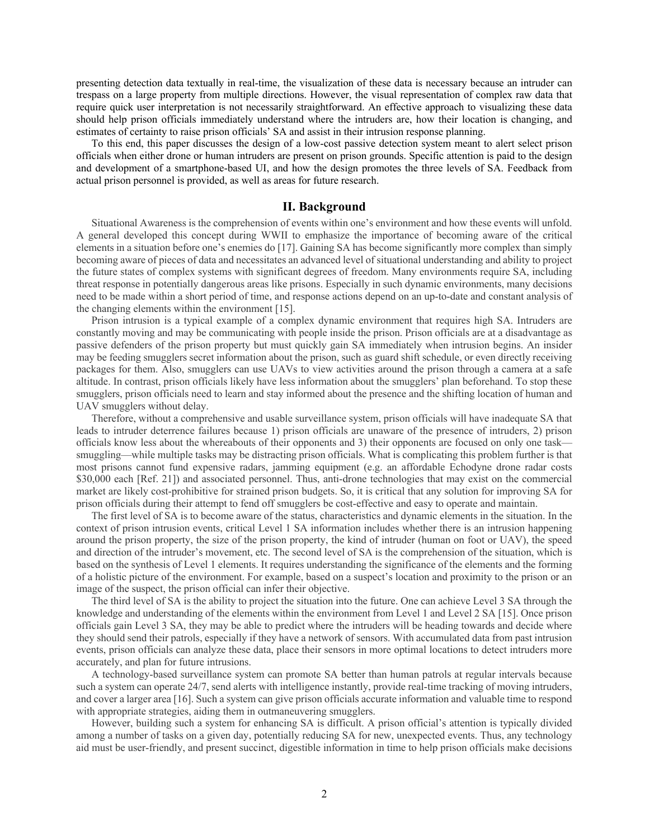presenting detection data textually in real-time, the visualization of these data is necessary because an intruder can trespass on a large property from multiple directions. However, the visual representation of complex raw data that require quick user interpretation is not necessarily straightforward. An effective approach to visualizing these data should help prison officials immediately understand where the intruders are, how their location is changing, and estimates of certainty to raise prison officials' SA and assist in their intrusion response planning.

To this end, this paper discusses the design of a low-cost passive detection system meant to alert select prison officials when either drone or human intruders are present on prison grounds. Specific attention is paid to the design and development of a smartphone-based UI, and how the design promotes the three levels of SA. Feedback from actual prison personnel is provided, as well as areas for future research.

## **II. Background**

Situational Awareness is the comprehension of events within one's environment and how these events will unfold. A general developed this concept during WWII to emphasize the importance of becoming aware of the critical elements in a situation before one's enemies do [17]. Gaining SA has become significantly more complex than simply becoming aware of pieces of data and necessitates an advanced level of situational understanding and ability to project the future states of complex systems with significant degrees of freedom. Many environments require SA, including threat response in potentially dangerous areas like prisons. Especially in such dynamic environments, many decisions need to be made within a short period of time, and response actions depend on an up-to-date and constant analysis of the changing elements within the environment [15].

Prison intrusion is a typical example of a complex dynamic environment that requires high SA. Intruders are constantly moving and may be communicating with people inside the prison. Prison officials are at a disadvantage as passive defenders of the prison property but must quickly gain SA immediately when intrusion begins. An insider may be feeding smugglers secret information about the prison, such as guard shift schedule, or even directly receiving packages for them. Also, smugglers can use UAVs to view activities around the prison through a camera at a safe altitude. In contrast, prison officials likely have less information about the smugglers' plan beforehand. To stop these smugglers, prison officials need to learn and stay informed about the presence and the shifting location of human and UAV smugglers without delay.

Therefore, without a comprehensive and usable surveillance system, prison officials will have inadequate SA that leads to intruder deterrence failures because 1) prison officials are unaware of the presence of intruders, 2) prison officials know less about the whereabouts of their opponents and 3) their opponents are focused on only one task smuggling—while multiple tasks may be distracting prison officials. What is complicating this problem further is that most prisons cannot fund expensive radars, jamming equipment (e.g. an affordable Echodyne drone radar costs \$30,000 each [Ref. 21]) and associated personnel. Thus, anti-drone technologies that may exist on the commercial market are likely cost-prohibitive for strained prison budgets. So, it is critical that any solution for improving SA for prison officials during their attempt to fend off smugglers be cost-effective and easy to operate and maintain.

The first level of SA is to become aware of the status, characteristics and dynamic elements in the situation. In the context of prison intrusion events, critical Level 1 SA information includes whether there is an intrusion happening around the prison property, the size of the prison property, the kind of intruder (human on foot or UAV), the speed and direction of the intruder's movement, etc. The second level of SA is the comprehension of the situation, which is based on the synthesis of Level 1 elements. It requires understanding the significance of the elements and the forming of a holistic picture of the environment. For example, based on a suspect's location and proximity to the prison or an image of the suspect, the prison official can infer their objective.

The third level of SA is the ability to project the situation into the future. One can achieve Level 3 SA through the knowledge and understanding of the elements within the environment from Level 1 and Level 2 SA [15]. Once prison officials gain Level 3 SA, they may be able to predict where the intruders will be heading towards and decide where they should send their patrols, especially if they have a network of sensors. With accumulated data from past intrusion events, prison officials can analyze these data, place their sensors in more optimal locations to detect intruders more accurately, and plan for future intrusions.

A technology-based surveillance system can promote SA better than human patrols at regular intervals because such a system can operate 24/7, send alerts with intelligence instantly, provide real-time tracking of moving intruders, and cover a larger area [16]. Such a system can give prison officials accurate information and valuable time to respond with appropriate strategies, aiding them in outmaneuvering smugglers.

However, building such a system for enhancing SA is difficult. A prison official's attention is typically divided among a number of tasks on a given day, potentially reducing SA for new, unexpected events. Thus, any technology aid must be user-friendly, and present succinct, digestible information in time to help prison officials make decisions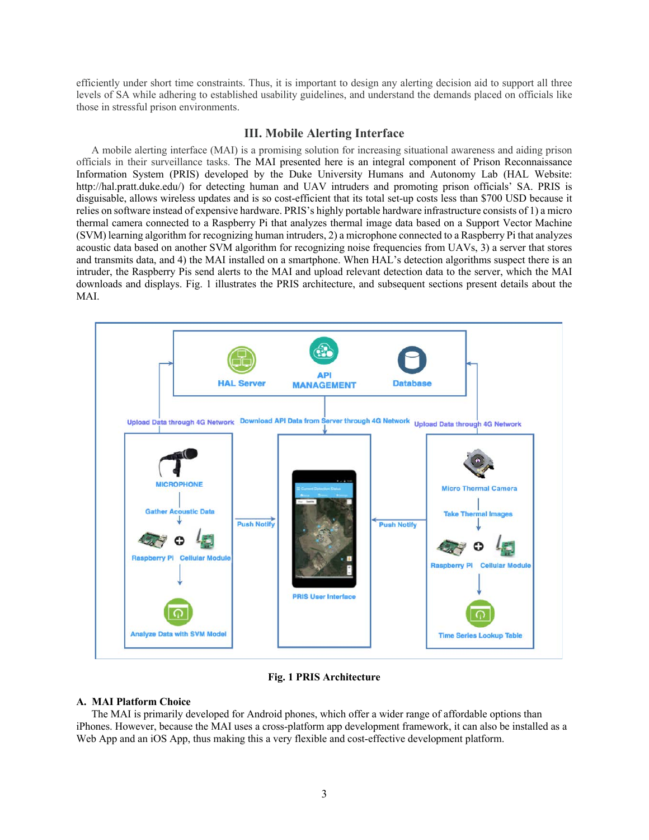efficiently under short time constraints. Thus, it is important to design any alerting decision aid to support all three levels of SA while adhering to established usability guidelines, and understand the demands placed on officials like those in stressful prison environments.

# **III. Mobile Alerting Interface**

A mobile alerting interface (MAI) is a promising solution for increasing situational awareness and aiding prison officials in their surveillance tasks. The MAI presented here is an integral component of Prison Reconnaissance Information System (PRIS) developed by the Duke University Humans and Autonomy Lab (HAL Website: http://hal.pratt.duke.edu/) for detecting human and UAV intruders and promoting prison officials' SA. PRIS is disguisable, allows wireless updates and is so cost-efficient that its total set-up costs less than \$700 USD because it relies on software instead of expensive hardware. PRIS's highly portable hardware infrastructure consists of 1) a micro thermal camera connected to a Raspberry Pi that analyzes thermal image data based on a Support Vector Machine (SVM) learning algorithm for recognizing human intruders, 2) a microphone connected to a Raspberry Pi that analyzes acoustic data based on another SVM algorithm for recognizing noise frequencies from UAVs, 3) a server that stores and transmits data, and 4) the MAI installed on a smartphone. When HAL's detection algorithms suspect there is an intruder, the Raspberry Pis send alerts to the MAI and upload relevant detection data to the server, which the MAI downloads and displays. Fig. 1 illustrates the PRIS architecture, and subsequent sections present details about the MAI.



**Fig. 1 PRIS Architecture** 

### **A. MAI Platform Choice**

The MAI is primarily developed for Android phones, which offer a wider range of affordable options than iPhones. However, because the MAI uses a cross-platform app development framework, it can also be installed as a Web App and an iOS App, thus making this a very flexible and cost-effective development platform.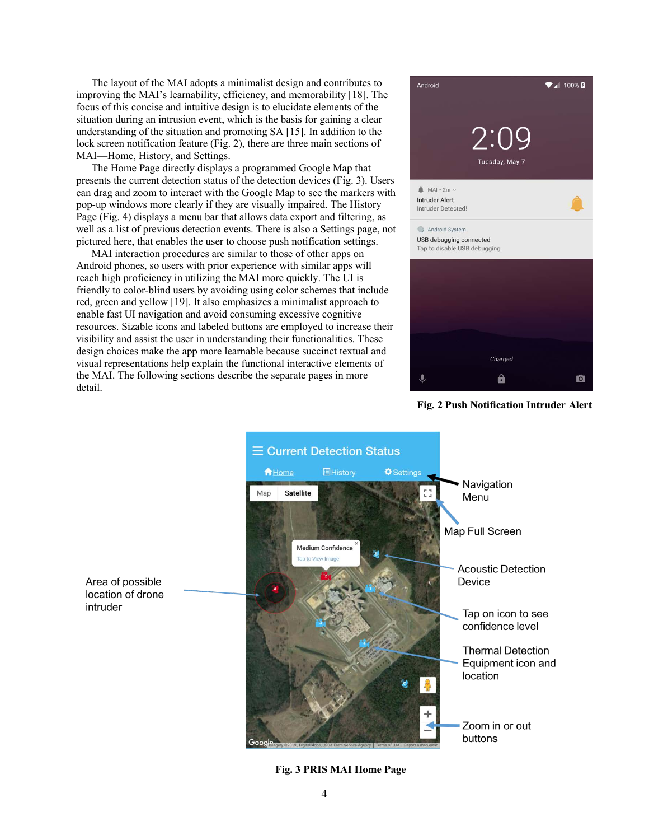The layout of the MAI adopts a minimalist design and contributes to improving the MAI's learnability, efficiency, and memorability [18]. The focus of this concise and intuitive design is to elucidate elements of the situation during an intrusion event, which is the basis for gaining a clear understanding of the situation and promoting SA [15]. In addition to the lock screen notification feature (Fig. 2), there are three main sections of MAI—Home, History, and Settings.

The Home Page directly displays a programmed Google Map that presents the current detection status of the detection devices (Fig. 3). Users can drag and zoom to interact with the Google Map to see the markers with pop-up windows more clearly if they are visually impaired. The History Page (Fig. 4) displays a menu bar that allows data export and filtering, as well as a list of previous detection events. There is also a Settings page, not pictured here, that enables the user to choose push notification settings.

MAI interaction procedures are similar to those of other apps on Android phones, so users with prior experience with similar apps will reach high proficiency in utilizing the MAI more quickly. The UI is friendly to color-blind users by avoiding using color schemes that include red, green and yellow [19]. It also emphasizes a minimalist approach to enable fast UI navigation and avoid consuming excessive cognitive resources. Sizable icons and labeled buttons are employed to increase their visibility and assist the user in understanding their functionalities. These design choices make the app more learnable because succinct textual and visual representations help explain the functional interactive elements of the MAI. The following sections describe the separate pages in more detail.







**Fig. 3 PRIS MAI Home Page**

Area of possible location of drone intruder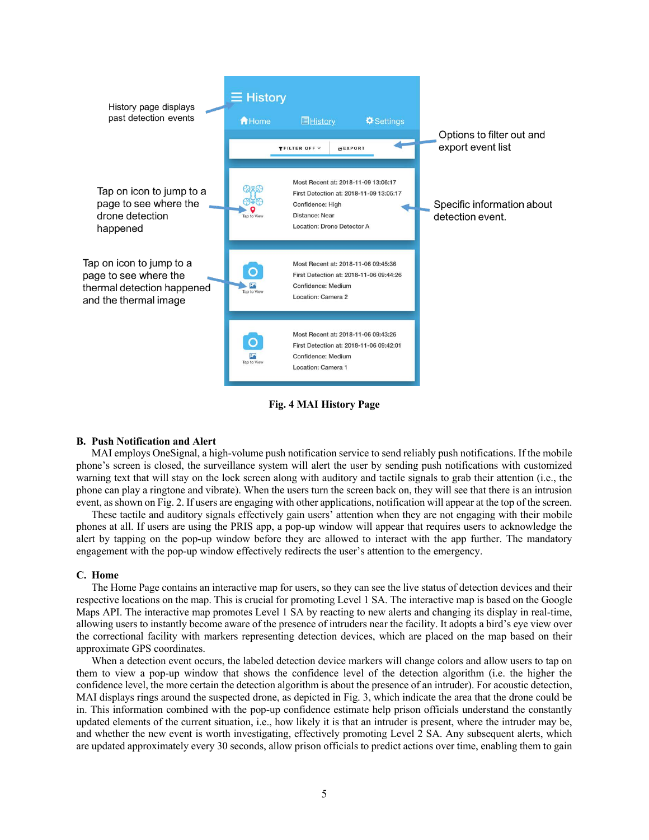

**Fig. 4 MAI History Page**

#### **B. Push Notification and Alert**

MAI employs OneSignal, a high-volume push notification service to send reliably push notifications. If the mobile phone's screen is closed, the surveillance system will alert the user by sending push notifications with customized warning text that will stay on the lock screen along with auditory and tactile signals to grab their attention (i.e., the phone can play a ringtone and vibrate). When the users turn the screen back on, they will see that there is an intrusion event, as shown on Fig. 2. If users are engaging with other applications, notification will appear at the top of the screen.

These tactile and auditory signals effectively gain users' attention when they are not engaging with their mobile phones at all. If users are using the PRIS app, a pop-up window will appear that requires users to acknowledge the alert by tapping on the pop-up window before they are allowed to interact with the app further. The mandatory engagement with the pop-up window effectively redirects the user's attention to the emergency.

### **C. Home**

The Home Page contains an interactive map for users, so they can see the live status of detection devices and their respective locations on the map. This is crucial for promoting Level 1 SA. The interactive map is based on the Google Maps API. The interactive map promotes Level 1 SA by reacting to new alerts and changing its display in real-time, allowing users to instantly become aware of the presence of intruders near the facility. It adopts a bird's eye view over the correctional facility with markers representing detection devices, which are placed on the map based on their approximate GPS coordinates.

When a detection event occurs, the labeled detection device markers will change colors and allow users to tap on them to view a pop-up window that shows the confidence level of the detection algorithm (i.e. the higher the confidence level, the more certain the detection algorithm is about the presence of an intruder). For acoustic detection, MAI displays rings around the suspected drone, as depicted in Fig. 3, which indicate the area that the drone could be in. This information combined with the pop-up confidence estimate help prison officials understand the constantly updated elements of the current situation, i.e., how likely it is that an intruder is present, where the intruder may be, and whether the new event is worth investigating, effectively promoting Level 2 SA. Any subsequent alerts, which are updated approximately every 30 seconds, allow prison officials to predict actions over time, enabling them to gain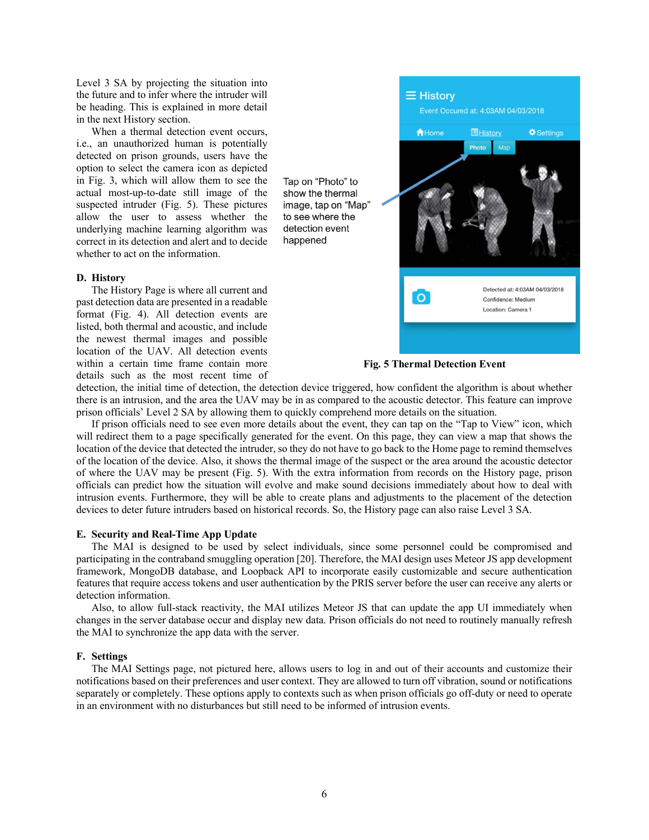Level 3 SA by projecting the situation into the future and to infer where the intruder will be heading. This is explained in more detail in the next History section.

When a thermal detection event occurs, i.e., an unauthorized human is potentially detected on prison grounds, users have the option to select the camera icon as depicted in Fig. 3, which will allow them to see the actual most-up-to-date still image of the suspected intruder (Fig. 5). These pictures allow the user to assess whether the underlying machine learning algorithm was correct in its detection and alert and to decide whether to act on the information.

#### **D. History**

The History Page is where all current and past detection data are presented in a readable format (Fig. 4). All detection events are listed, both thermal and acoustic, and include the newest thermal images and possible location of the UAV. All detection events within a certain time frame contain more details such as the most recent time of





detection, the initial time of detection, the detection device triggered, how confident the algorithm is about whether there is an intrusion, and the area the UAV may be in as compared to the acoustic detector. This feature can improve prison officials' Level 2 SA by allowing them to quickly comprehend more details on the situation.

happened

If prison officials need to see even more details about the event, they can tap on the "Tap to View" icon, which will redirect them to a page specifically generated for the event. On this page, they can view a map that shows the location of the device that detected the intruder, so they do not have to go back to the Home page to remind themselves of the location of the device. Also, it shows the thermal image of the suspect or the area around the acoustic detector of where the UAV may be present (Fig. 5). With the extra information from records on the History page, prison officials can predict how the situation will evolve and make sound decisions immediately about how to deal with intrusion events. Furthermore, they will be able to create plans and adjustments to the placement of the detection devices to deter future intruders based on historical records. So, the History page can also raise Level 3 SA.

#### **E. Security and Real-Time App Update**

The MAI is designed to be used by select individuals, since some personnel could be compromised and participating in the contraband smuggling operation [20]. Therefore, the MAI design uses Meteor JS app development framework, MongoDB database, and Loopback API to incorporate easily customizable and secure authentication features that require access tokens and user authentication by the PRIS server before the user can receive any alerts or detection information.

Also, to allow full-stack reactivity, the MAI utilizes Meteor JS that can update the app UI immediately when changes in the server database occur and display new data. Prison officials do not need to routinely manually refresh the MAI to synchronize the app data with the server.

#### **F. Settings**

The MAI Settings page, not pictured here, allows users to log in and out of their accounts and customize their notifications based on their preferences and user context. They are allowed to turn off vibration, sound or notifications separately or completely. These options apply to contexts such as when prison officials go off-duty or need to operate in an environment with no disturbances but still need to be informed of intrusion events.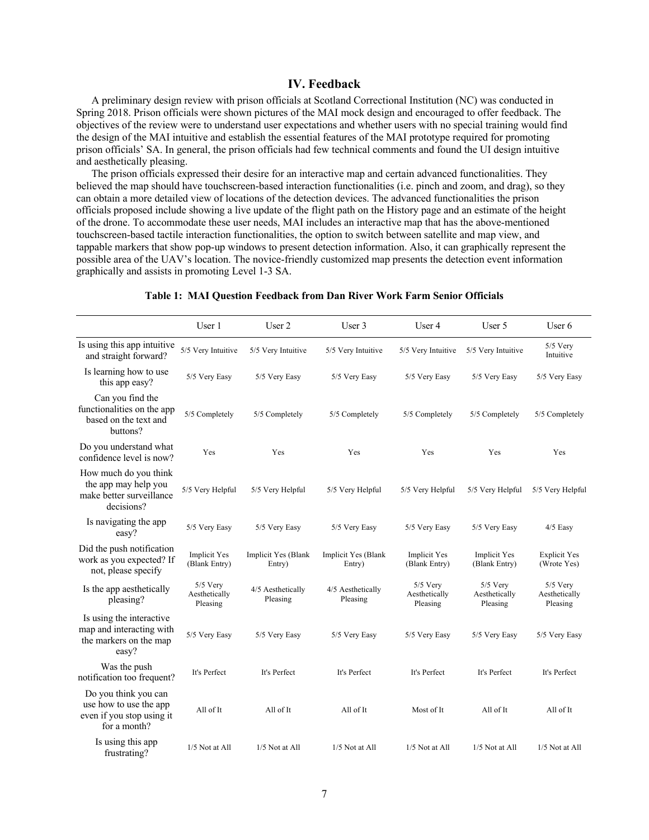# **IV. Feedback**

A preliminary design review with prison officials at Scotland Correctional Institution (NC) was conducted in Spring 2018. Prison officials were shown pictures of the MAI mock design and encouraged to offer feedback. The objectives of the review were to understand user expectations and whether users with no special training would find the design of the MAI intuitive and establish the essential features of the MAI prototype required for promoting prison officials' SA. In general, the prison officials had few technical comments and found the UI design intuitive and aesthetically pleasing.

The prison officials expressed their desire for an interactive map and certain advanced functionalities. They believed the map should have touchscreen-based interaction functionalities (i.e. pinch and zoom, and drag), so they can obtain a more detailed view of locations of the detection devices. The advanced functionalities the prison officials proposed include showing a live update of the flight path on the History page and an estimate of the height of the drone. To accommodate these user needs, MAI includes an interactive map that has the above-mentioned touchscreen-based tactile interaction functionalities, the option to switch between satellite and map view, and tappable markers that show pop-up windows to present detection information. Also, it can graphically represent the possible area of the UAV's location. The novice-friendly customized map presents the detection event information graphically and assists in promoting Level 1-3 SA.

|                                                                                             | User 1                                  | User 2                        | User 3                        | User 4                                  | User 5                                  | User 6                                  |
|---------------------------------------------------------------------------------------------|-----------------------------------------|-------------------------------|-------------------------------|-----------------------------------------|-----------------------------------------|-----------------------------------------|
| Is using this app intuitive<br>and straight forward?                                        | 5/5 Very Intuitive                      | 5/5 Very Intuitive            | 5/5 Very Intuitive            | 5/5 Very Intuitive                      | 5/5 Very Intuitive                      | $5/5$ Very<br>Intuitive                 |
| Is learning how to use<br>this app easy?                                                    | 5/5 Very Easy                           | 5/5 Very Easy                 | 5/5 Very Easy                 | 5/5 Very Easy                           | 5/5 Very Easy                           | 5/5 Very Easy                           |
| Can you find the<br>functionalities on the app<br>based on the text and<br>buttons?         | 5/5 Completely                          | 5/5 Completely                | 5/5 Completely                | 5/5 Completely                          | 5/5 Completely                          | 5/5 Completely                          |
| Do you understand what<br>confidence level is now?                                          | Yes                                     | Yes                           | Yes                           | Yes                                     | Yes                                     | Yes                                     |
| How much do you think<br>the app may help you<br>make better surveillance<br>decisions?     | 5/5 Very Helpful                        | 5/5 Very Helpful              | 5/5 Very Helpful              | 5/5 Very Helpful                        | 5/5 Very Helpful                        | 5/5 Very Helpful                        |
| Is navigating the app<br>easy?                                                              | 5/5 Very Easy                           | 5/5 Very Easy                 | 5/5 Very Easy                 | 5/5 Very Easy                           | 5/5 Very Easy                           | $4/5$ Easy                              |
| Did the push notification<br>work as you expected? If<br>not, please specify                | <b>Implicit Yes</b><br>(Blank Entry)    | Implicit Yes (Blank<br>Entry) | Implicit Yes (Blank<br>Entry) | <b>Implicit Yes</b><br>(Blank Entry)    | <b>Implicit Yes</b><br>(Blank Entry)    | <b>Explicit Yes</b><br>(Wrote Yes)      |
| Is the app aesthetically<br>pleasing?                                                       | $5/5$ Very<br>Aesthetically<br>Pleasing | 4/5 Aesthetically<br>Pleasing | 4/5 Aesthetically<br>Pleasing | $5/5$ Very<br>Aesthetically<br>Pleasing | $5/5$ Very<br>Aesthetically<br>Pleasing | $5/5$ Very<br>Aesthetically<br>Pleasing |
| Is using the interactive.<br>map and interacting with<br>the markers on the map<br>easy?    | 5/5 Very Easy                           | 5/5 Very Easy                 | 5/5 Very Easy                 | 5/5 Very Easy                           | 5/5 Very Easy                           | 5/5 Very Easy                           |
| Was the push<br>notification too frequent?                                                  | It's Perfect                            | It's Perfect                  | It's Perfect                  | It's Perfect                            | It's Perfect                            | It's Perfect                            |
| Do you think you can<br>use how to use the app<br>even if you stop using it<br>for a month? | All of It                               | All of It                     | All of It                     | Most of It                              | All of It                               | All of It                               |
| Is using this app<br>frustrating?                                                           | 1/5 Not at All                          | $1/5$ Not at All              | 1/5 Not at All                | 1/5 Not at All                          | 1/5 Not at All                          | 1/5 Not at All                          |

### **Table 1: MAI Question Feedback from Dan River Work Farm Senior Officials**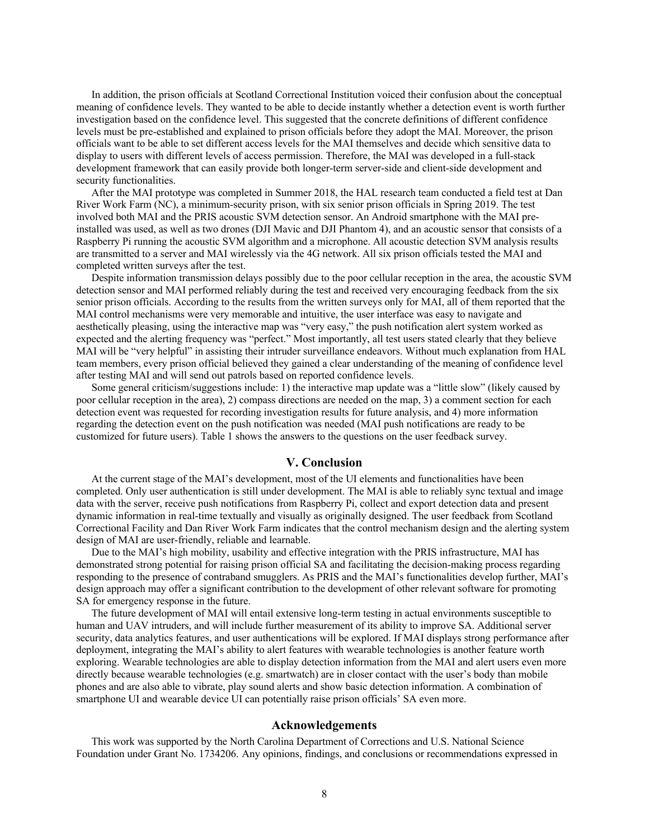In addition, the prison officials at Scotland Correctional Institution voiced their confusion about the conceptual meaning of confidence levels. They wanted to be able to decide instantly whether a detection event is worth further investigation based on the confidence level. This suggested that the concrete definitions of different confidence levels must be pre-established and explained to prison officials before they adopt the MAI. Moreover, the prison officials want to be able to set different access levels for the MAI themselves and decide which sensitive data to display to users with different levels of access permission. Therefore, the MAI was developed in a full-stack development framework that can easily provide both longer-term server-side and client-side development and security functionalities.

After the MAI prototype was completed in Summer 2018, the HAL research team conducted a field test at Dan River Work Farm (NC), a minimum-security prison, with six senior prison officials in Spring 2019. The test involved both MAI and the PRIS acoustic SVM detection sensor. An Android smartphone with the MAI preinstalled was used, as well as two drones (DJI Mavic and DJI Phantom 4), and an acoustic sensor that consists of a Raspberry Pi running the acoustic SVM algorithm and a microphone. All acoustic detection SVM analysis results are transmitted to a server and MAI wirelessly via the 4G network. All six prison officials tested the MAI and completed written surveys after the test.

Despite information transmission delays possibly due to the poor cellular reception in the area, the acoustic SVM detection sensor and MAI performed reliably during the test and received very encouraging feedback from the six senior prison officials. According to the results from the written surveys only for MAI, all of them reported that the MAI control mechanisms were very memorable and intuitive, the user interface was easy to navigate and aesthetically pleasing, using the interactive map was "very easy," the push notification alert system worked as expected and the alerting frequency was "perfect." Most importantly, all test users stated clearly that they believe MAI will be "very helpful" in assisting their intruder surveillance endeavors. Without much explanation from HAL team members, every prison official believed they gained a clear understanding of the meaning of confidence level after testing MAI and will send out patrols based on reported confidence levels.

Some general criticism/suggestions include: 1) the interactive map update was a "little slow" (likely caused by poor cellular reception in the area), 2) compass directions are needed on the map, 3) a comment section for each detection event was requested for recording investigation results for future analysis, and 4) more information regarding the detection event on the push notification was needed (MAI push notifications are ready to be customized for future users). Table 1 shows the answers to the questions on the user feedback survey.

# **V. Conclusion**

At the current stage of the MAI's development, most of the UI elements and functionalities have been completed. Only user authentication is still under development. The MAI is able to reliably sync textual and image data with the server, receive push notifications from Raspberry Pi, collect and export detection data and present dynamic information in real-time textually and visually as originally designed. The user feedback from Scotland Correctional Facility and Dan River Work Farm indicates that the control mechanism design and the alerting system design of MAI are user-friendly, reliable and learnable.

Due to the MAI's high mobility, usability and effective integration with the PRIS infrastructure, MAI has demonstrated strong potential for raising prison official SA and facilitating the decision-making process regarding responding to the presence of contraband smugglers. As PRIS and the MAI's functionalities develop further, MAI's design approach may offer a significant contribution to the development of other relevant software for promoting SA for emergency response in the future.

The future development of MAI will entail extensive long-term testing in actual environments susceptible to human and UAV intruders, and will include further measurement of its ability to improve SA. Additional server security, data analytics features, and user authentications will be explored. If MAI displays strong performance after deployment, integrating the MAI's ability to alert features with wearable technologies is another feature worth exploring. Wearable technologies are able to display detection information from the MAI and alert users even more directly because wearable technologies (e.g. smartwatch) are in closer contact with the user's body than mobile phones and are also able to vibrate, play sound alerts and show basic detection information. A combination of smartphone UI and wearable device UI can potentially raise prison officials' SA even more.

# **Acknowledgements**

This work was supported by the North Carolina Department of Corrections and U.S. National Science Foundation under Grant No. 1734206. Any opinions, findings, and conclusions or recommendations expressed in